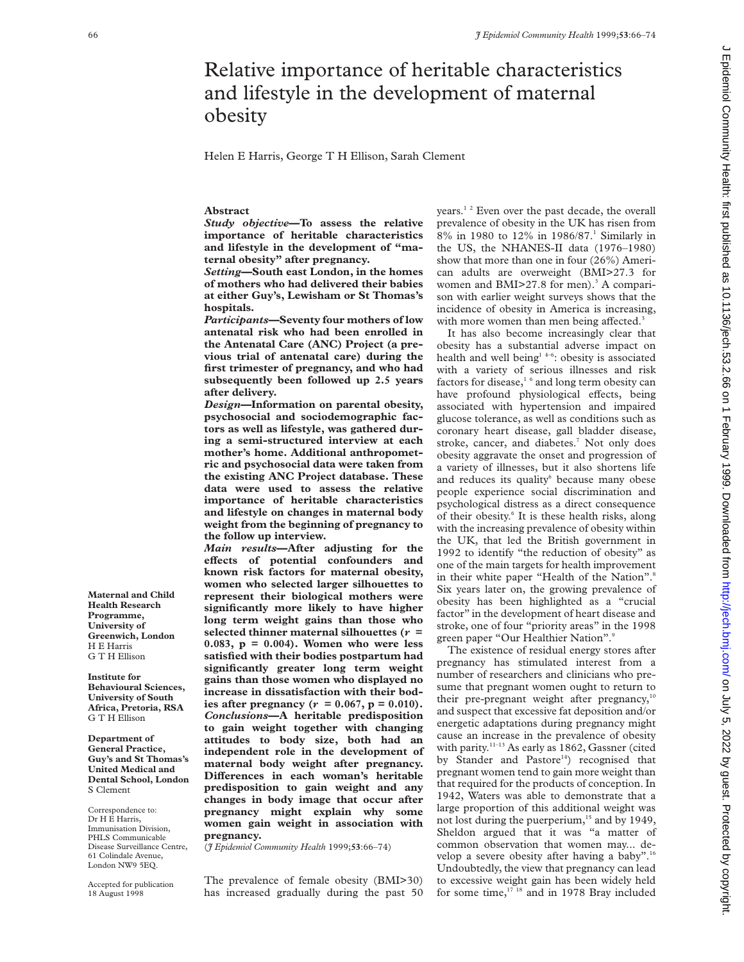# Relative importance of heritable characteristics and lifestyle in the development of maternal obesity

Helen E Harris, George T H Ellison, Sarah Clement

## **Abstract**

*Study objective***—To assess the relative importance of heritable characteristics and lifestyle in the development of "maternal obesity" after pregnancy.**

*Setting***—South east London, in the homes of mothers who had delivered their babies at either Guy's, Lewisham or St Thomas's hospitals.**

*Participants***—Seventy four mothers of low antenatal risk who had been enrolled in the Antenatal Care (ANC) Project (a previous trial of antenatal care) during the first trimester of pregnancy, and who had subsequently been followed up 2.5 years after delivery.**

*Design***—Information on parental obesity, psychosocial and sociodemographic factors as well as lifestyle, was gathered during a semi-structured interview at each mother's home. Additional anthropometric and psychosocial data were taken from the existing ANC Project database. These data were used to assess the relative importance of heritable characteristics and lifestyle on changes in maternal body weight from the beginning of pregnancy to the follow up interview.**

*Main results***—After adjusting for the** effects of potential confounders and **known risk factors for maternal obesity, women who selected larger silhouettes to represent their biological mothers were significantly more likely to have higher long term weight gains than those who selected thinner maternal silhouettes (***r* **= 0.083, p = 0.004). Women who were less satisfied with their bodies postpartum had significantly greater long term weight gains than those women who displayed no increase in dissatisfaction with their bodies after pregnancy**  $(r = 0.067, p = 0.010)$ . *Conclusions***—A heritable predisposition to gain weight together with changing attitudes to body size, both had an independent role in the development of maternal body weight after pregnancy. Differences** in each woman's heritable **predisposition to gain weight and any changes in body image that occur after pregnancy might explain why some women gain weight in association with pregnancy.**

(*J Epidemiol Community Health* 1999;**53**:66–74)

The prevalence of female obesity (BMI>30) has increased gradually during the past 50 years.1 2 Even over the past decade, the overall prevalence of obesity in the UK has risen from 8% in 1980 to 12% in 1986/87.1 Similarly in the US, the NHANES-II data (1976–1980) show that more than one in four (26%) American adults are overweight (BMI>27.3 for women and BMI $>$ 27.8 for men).<sup>3</sup> A comparison with earlier weight surveys shows that the incidence of obesity in America is increasing, with more women than men being affected.<sup>3</sup>

It has also become increasingly clear that obesity has a substantial adverse impact on health and well being<sup>14-6</sup>: obesity is associated with a variety of serious illnesses and risk factors for disease, $1/6$  and long term obesity can have profound physiological effects, being associated with hypertension and impaired glucose tolerance, as well as conditions such as coronary heart disease, gall bladder disease, stroke, cancer, and diabetes.<sup>7</sup> Not only does obesity aggravate the onset and progression of a variety of illnesses, but it also shortens life and reduces its quality<sup>6</sup> because many obese people experience social discrimination and psychological distress as a direct consequence of their obesity.<sup>6</sup> It is these health risks, along with the increasing prevalence of obesity within the UK, that led the British government in 1992 to identify "the reduction of obesity" as one of the main targets for health improvement in their white paper "Health of the Nation".<sup>8</sup> Six years later on, the growing prevalence of obesity has been highlighted as a "crucial factor" in the development of heart disease and stroke, one of four "priority areas" in the 1998 green paper "Our Healthier Nation".<sup>9</sup>

The existence of residual energy stores after pregnancy has stimulated interest from a number of researchers and clinicians who presume that pregnant women ought to return to their pre-pregnant weight after pregnancy, $10$ and suspect that excessive fat deposition and/or energetic adaptations during pregnancy might cause an increase in the prevalence of obesity with parity.<sup>11-13</sup> As early as 1862, Gassner (cited by Stander and Pastore<sup>14</sup>) recognised that pregnant women tend to gain more weight than that required for the products of conception. In 1942, Waters was able to demonstrate that a large proportion of this additional weight was not lost during the puerperium,<sup>15</sup> and by 1949, Sheldon argued that it was "a matter of common observation that women may... develop a severe obesity after having a baby".16 Undoubtedly, the view that pregnancy can lead to excessive weight gain has been widely held for some time,<sup>17 18</sup> and in 1978 Bray included

 $\sim$ 

**Programme, University of Greenwich, London** H E Harris G T H Ellison

**Maternal and Child Health Research**

**Institute for Behavioural Sciences, University of South Africa, Pretoria, RSA** G T H Ellison

**Department of General Practice, Guy's and St Thomas's United Medical and Dental School, London** S Clement

Correspondence to: Dr H E Harris, Immunisation Division, PHLS Communicable Disease Surveillance Centre, 61 Colindale Avenue, London NW9 5EQ.

Accepted for publication 18 August 1998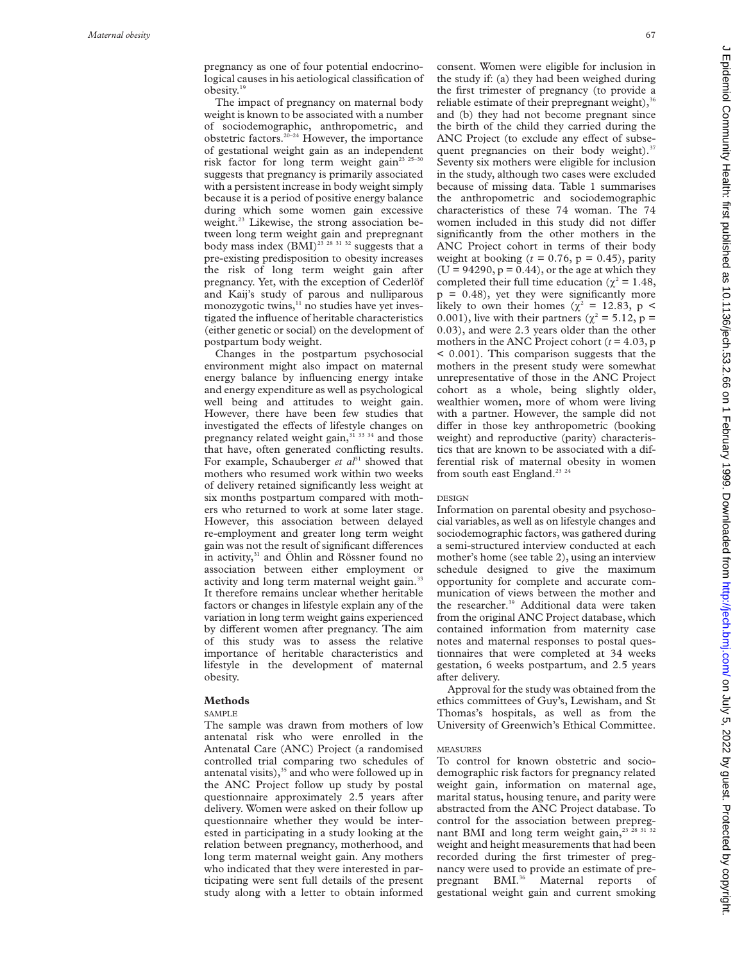pregnancy as one of four potential endocrinological causes in his aetiological classification of obesity.19

The impact of pregnancy on maternal body weight is known to be associated with a number of sociodemographic, anthropometric, and obstetric factors.20–24 However, the importance of gestational weight gain as an independent risk factor for long term weight gain<sup>23 25-30</sup> suggests that pregnancy is primarily associated with a persistent increase in body weight simply because it is a period of positive energy balance during which some women gain excessive weight.<sup>23</sup> Likewise, the strong association between long term weight gain and prepregnant body mass index  $(B\text{MI})^{25}$ <sup>28 31 32</sup> suggests that a pre-existing predisposition to obesity increases the risk of long term weight gain after pregnancy. Yet, with the exception of Cederlöf and Kaij's study of parous and nulliparous monozygotic twins,<sup>11</sup> no studies have yet investigated the influence of heritable characteristics (either genetic or social) on the development of postpartum body weight.

Changes in the postpartum psychosocial environment might also impact on maternal energy balance by influencing energy intake and energy expenditure as well as psychological well being and attitudes to weight gain. However, there have been few studies that investigated the effects of lifestyle changes on pregnancy related weight gain,<sup>31 33 34</sup> and those that have, often generated conflicting results. For example, Schauberger *et al*<sup>31</sup> showed that mothers who resumed work within two weeks of delivery retained significantly less weight at six months postpartum compared with mothers who returned to work at some later stage. However, this association between delayed re-employment and greater long term weight gain was not the result of significant differences in activity,<sup>31</sup> and Öhlin and Rössner found no association between either employment or activity and long term maternal weight gain.<sup>33</sup> It therefore remains unclear whether heritable factors or changes in lifestyle explain any of the variation in long term weight gains experienced by different women after pregnancy. The aim of this study was to assess the relative importance of heritable characteristics and lifestyle in the development of maternal obesity.

#### **Methods**

#### SAMPLE

The sample was drawn from mothers of low antenatal risk who were enrolled in the Antenatal Care (ANC) Project (a randomised controlled trial comparing two schedules of antenatal visits), $35$  and who were followed up in the ANC Project follow up study by postal questionnaire approximately 2.5 years after delivery. Women were asked on their follow up questionnaire whether they would be interested in participating in a study looking at the relation between pregnancy, motherhood, and long term maternal weight gain. Any mothers who indicated that they were interested in participating were sent full details of the present study along with a letter to obtain informed

consent. Women were eligible for inclusion in the study if: (a) they had been weighed during the first trimester of pregnancy (to provide a reliable estimate of their prepregnant weight),  $36$ and (b) they had not become pregnant since the birth of the child they carried during the ANC Project (to exclude any effect of subsequent pregnancies on their body weight). $37$ Seventy six mothers were eligible for inclusion in the study, although two cases were excluded because of missing data. Table 1 summarises the anthropometric and sociodemographic characteristics of these 74 woman. The 74 women included in this study did not differ significantly from the other mothers in the ANC Project cohort in terms of their body weight at booking  $(t = 0.76, p = 0.45)$ , parity  $(U = 94290, p = 0.44)$ , or the age at which they completed their full time education ( $\chi^2$  = 1.48,  $p = 0.48$ , yet they were significantly more likely to own their homes ( $\chi^2$  = 12.83, p < 0.001), live with their partners ( $\chi^2 = 5.12$ , p = 0.03), and were 2.3 years older than the other mothers in the ANC Project cohort  $(t = 4.03, p$ < 0.001). This comparison suggests that the mothers in the present study were somewhat unrepresentative of those in the ANC Project cohort as a whole, being slightly older, wealthier women, more of whom were living with a partner. However, the sample did not differ in those key anthropometric (booking weight) and reproductive (parity) characteristics that are known to be associated with a differential risk of maternal obesity in women from south east England.<sup>23</sup> <sup>24</sup>

#### DESIGN

Information on parental obesity and psychosocial variables, as well as on lifestyle changes and sociodemographic factors, was gathered during a semi-structured interview conducted at each mother's home (see table 2), using an interview schedule designed to give the maximum opportunity for complete and accurate communication of views between the mother and the researcher.<sup>39</sup> Additional data were taken from the original ANC Project database, which contained information from maternity case notes and maternal responses to postal questionnaires that were completed at 34 weeks gestation, 6 weeks postpartum, and 2.5 years after delivery.

Approval for the study was obtained from the ethics committees of Guy's, Lewisham, and St Thomas's hospitals, as well as from the University of Greenwich's Ethical Committee.

#### MEASURES

To control for known obstetric and sociodemographic risk factors for pregnancy related weight gain, information on maternal age, marital status, housing tenure, and parity were abstracted from the ANC Project database. To control for the association between prepregnant BMI and long term weight gain, $23\frac{28}{28}$ weight and height measurements that had been recorded during the first trimester of pregnancy were used to provide an estimate of prepregnant BMI.36 Maternal reports of gestational weight gain and current smoking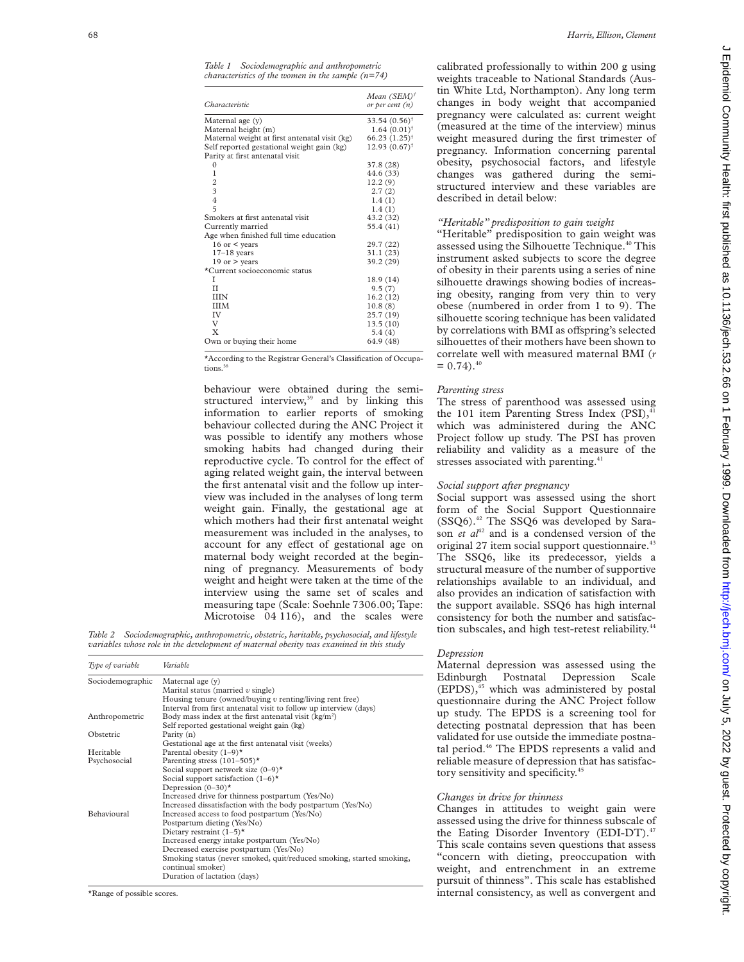| Characteristic                                | Mean $(SEM)^{\dagger}$<br>or per cent $(n)$ |
|-----------------------------------------------|---------------------------------------------|
| Maternal age $(v)$                            | $33.54(0.56)^{\dagger}$                     |
| Maternal height (m)                           | $1.64(0.01)^{†}$                            |
| Maternal weight at first antenatal visit (kg) | $66.23 (1.25)^{\dagger}$                    |
| Self reported gestational weight gain (kg)    | $12.93(0.67)^{\dagger}$                     |
| Parity at first antenatal visit               |                                             |
| $\Omega$                                      | 37.8 (28)                                   |
| 1                                             | 44.6 (33)                                   |
| $\boldsymbol{2}$                              | 12.2(9)                                     |
| $\overline{\mathbf{3}}$                       | 2.7(2)                                      |
| $\overline{4}$                                | 1.4(1)                                      |
| $\overline{2}$                                | 1.4(1)                                      |
| Smokers at first antenatal visit              | 43.2 (32)                                   |
| Currently married                             | 55.4 (41)                                   |
| Age when finished full time education         |                                             |
| 16 or $\leq$ years                            | 29.7 (22)                                   |
| $17-18$ years                                 | 31.1(23)                                    |
| 19 or $>$ years                               | 39.2 (29)                                   |
| *Current socioeconomic status                 |                                             |
| T                                             | 18.9 (14)                                   |
| $_{II}$                                       | 9.5(7)                                      |
| IIIN                                          | 16.2(12)                                    |
| <b>IIIM</b>                                   | 10.8(8)                                     |
| IV                                            | 25.7(19)                                    |
| V                                             | 13.5(10)                                    |
| X                                             | 5.4(4)                                      |
| Own or buying their home                      | 64.9 (48)                                   |
|                                               |                                             |

\*According to the Registrar General's Classification of Occupations.<sup>3</sup>

behaviour were obtained during the semistructured interview, $39$  and by linking this information to earlier reports of smoking behaviour collected during the ANC Project it was possible to identify any mothers whose smoking habits had changed during their reproductive cycle. To control for the effect of aging related weight gain, the interval between the first antenatal visit and the follow up interview was included in the analyses of long term weight gain. Finally, the gestational age at which mothers had their first antenatal weight measurement was included in the analyses, to account for any effect of gestational age on maternal body weight recorded at the beginning of pregnancy. Measurements of body weight and height were taken at the time of the interview using the same set of scales and measuring tape (Scale: Soehnle 7306.00; Tape: Microtoise 04 116), and the scales were

*Table 2 Sociodemographic, anthropometric, obstetric, heritable, psychosocial, and lifestyle variables whose role in the development of maternal obesity was examined in this study*

| Type of variable | Variable                                                                                                                                                                                                                                                                                                                         |
|------------------|----------------------------------------------------------------------------------------------------------------------------------------------------------------------------------------------------------------------------------------------------------------------------------------------------------------------------------|
| Sociodemographic | Maternal age (y)<br>Marital status (married $v \sin(\theta)$ )<br>Housing tenure (owned/buying $v$ renting/living rent free)<br>Interval from first antenatal visit to follow up interview (days)                                                                                                                                |
| Anthropometric   | Body mass index at the first antenatal visit $(kg/m2)$<br>Self reported gestational weight gain (kg)                                                                                                                                                                                                                             |
| Obstetric        | Parity (n)<br>Gestational age at the first antenatal visit (weeks)                                                                                                                                                                                                                                                               |
| Heritable        | Parental obesity $(1-9)^*$                                                                                                                                                                                                                                                                                                       |
| Psychosocial     | Parenting stress $(101-505)^*$<br>Social support network size $(0-9)^*$<br>Social support satisfaction $(1-6)$ <sup>*</sup><br>Depression $(0-30)^*$<br>Increased drive for thinness postpartum (Yes/No)<br>Increased dissatisfaction with the body postpartum (Yes/No)                                                          |
| Behavioural      | Increased access to food postpartum (Yes/No)<br>Postpartum dieting (Yes/No)<br>Dietary restraint $(1-5)^*$<br>Increased energy intake postpartum (Yes/No)<br>Decreased exercise postpartum (Yes/No)<br>Smoking status (never smoked, quit/reduced smoking, started smoking,<br>continual smoker)<br>Duration of lactation (days) |

\*Range of possible scores.

calibrated professionally to within 200 g using weights traceable to National Standards (Austin White Ltd, Northampton). Any long term changes in body weight that accompanied pregnancy were calculated as: current weight (measured at the time of the interview) minus weight measured during the first trimester of pregnancy. Information concerning parental obesity, psychosocial factors, and lifestyle changes was gathered during the semistructured interview and these variables are described in detail below:

## *"Heritable" predisposition to gain weight*

"Heritable" predisposition to gain weight was assessed using the Silhouette Technique.<sup>40</sup> This instrument asked subjects to score the degree of obesity in their parents using a series of nine silhouette drawings showing bodies of increasing obesity, ranging from very thin to very obese (numbered in order from 1 to 9). The silhouette scoring technique has been validated by correlations with BMI as offspring's selected silhouettes of their mothers have been shown to correlate well with measured maternal BMI (*r*  $= 0.74$ .<sup>40</sup>

## *Parenting stress*

The stress of parenthood was assessed using the 101 item Parenting Stress Index  $(PSI)$ ,<sup>4</sup> which was administered during the ANC Project follow up study. The PSI has proven reliability and validity as a measure of the stresses associated with parenting.<sup>41</sup>

#### *Social support after pregnancy*

Social support was assessed using the short form of the Social Support Questionnaire (SSQ6).42 The SSQ6 was developed by Sarason *et al*<sup>42</sup> and is a condensed version of the original 27 item social support questionnaire.<sup>4</sup> The SSQ6, like its predecessor, yields a structural measure of the number of supportive relationships available to an individual, and also provides an indication of satisfaction with the support available. SSQ6 has high internal consistency for both the number and satisfaction subscales, and high test-retest reliability.<sup>4</sup>

## *Depression*

Maternal depression was assessed using the Edinburgh Postnatal Depression Scale  $(EPDS)$ , $45$  which was administered by postal questionnaire during the ANC Project follow up study. The EPDS is a screening tool for detecting postnatal depression that has been validated for use outside the immediate postnatal period.<sup>46</sup> The EPDS represents a valid and reliable measure of depression that has satisfactory sensitivity and specificity.<sup>45</sup>

## *Changes in drive for thinness*

Changes in attitudes to weight gain were assessed using the drive for thinness subscale of the Eating Disorder Inventory (EDI-DT).<sup>47</sup> This scale contains seven questions that assess "concern with dieting, preoccupation with weight, and entrenchment in an extreme pursuit of thinness". This scale has established internal consistency, as well as convergent and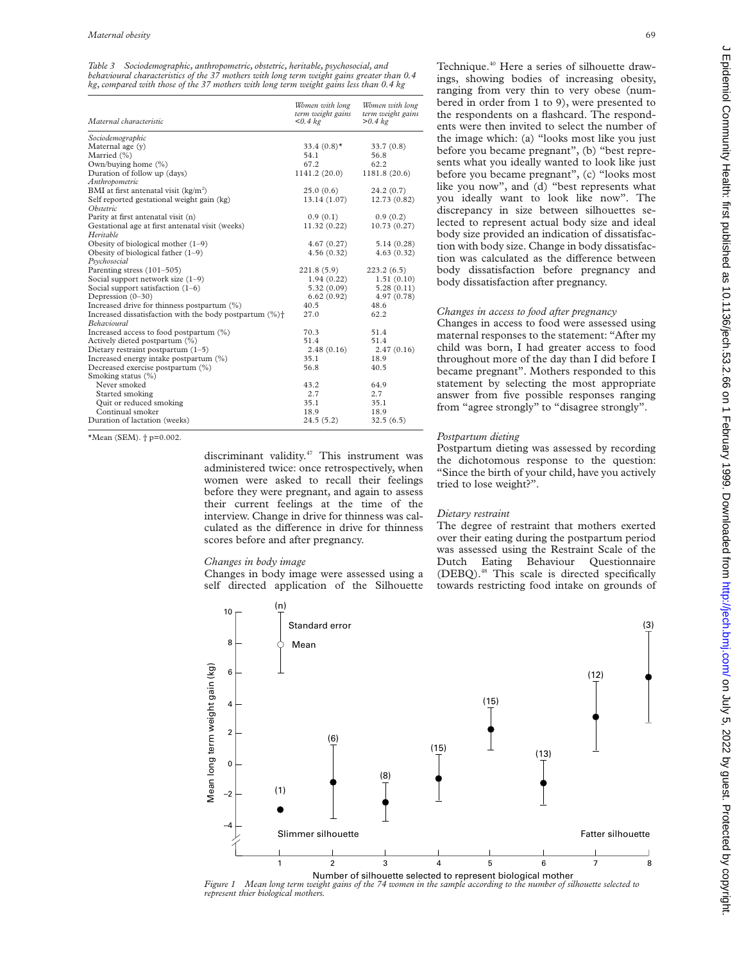*Table 3 Sociodemographic, anthropometric, obstetric, heritable, psychosocial, and behavioural characteristics of the 37 mothers with long term weight gains greater than 0.4 kg, compared with those of the 37 mothers with long term weight gains less than 0.4 kg*

| Maternal characteristic                                             | Women with long<br>term weight gains<br>< 0.4 kg | Women with long<br>term weight gains<br>> 0.4 kg |
|---------------------------------------------------------------------|--------------------------------------------------|--------------------------------------------------|
| Sociodemographic                                                    |                                                  |                                                  |
| Maternal age (y)                                                    | 33.4 $(0.8)$ <sup>*</sup>                        | 33.7(0.8)                                        |
| Married (%)                                                         | 54.1                                             | 56.8                                             |
| Own/buying home (%)                                                 | 67.2                                             | 62.2                                             |
| Duration of follow up (days)                                        | 1141.2 (20.0)                                    | 1181.8 (20.6)                                    |
| Anthropometric                                                      |                                                  |                                                  |
| BMI at first antenatal visit $(kg/m2)$                              | 25.0(0.6)                                        | 24.2(0.7)                                        |
| Self reported gestational weight gain (kg)                          | 13.14(1.07)                                      | 12.73 (0.82)                                     |
| <i><b>Obstetric</b></i>                                             |                                                  |                                                  |
| Parity at first antenatal visit (n)                                 | 0.9(0.1)                                         | 0.9(0.2)                                         |
| Gestational age at first antenatal visit (weeks)                    | 11.32(0.22)                                      | 10.73(0.27)                                      |
| Heritable                                                           |                                                  |                                                  |
| Obesity of biological mother $(1-9)$                                | 4.67(0.27)                                       | 5.14 (0.28)                                      |
| Obesity of biological father $(1-9)$                                | 4.56(0.32)                                       | 4.63(0.32)                                       |
| Psychosocial                                                        |                                                  |                                                  |
| Parenting stress (101-505)                                          | 221.8(5.9)                                       | 223.2(6.5)                                       |
| Social support network size $(1-9)$                                 | 1.94(0.22)                                       | 1.51(0.10)                                       |
| Social support satisfaction $(1-6)$                                 | 5.32(0.09)                                       | 5.28(0.11)                                       |
| Depression (0-30)                                                   | 6.62(0.92)                                       | 4.97(0.78)                                       |
| Increased drive for thinness postpartum (%)                         | 40.5                                             | 48.6                                             |
| Increased dissatisfaction with the body postpartum (%) <sup>+</sup> | 27.0                                             | 62.2                                             |
| <b>Behavioural</b>                                                  |                                                  |                                                  |
| Increased access to food postpartum (%)                             | 70.3                                             | 51.4                                             |
| Actively dieted postpartum (%)                                      | 51.4                                             | 51.4                                             |
| Dietary restraint postpartum $(1-5)$                                | 2.48(0.16)                                       | 2.47(0.16)                                       |
| Increased energy intake postpartum (%)                              | 35.1                                             | 18.9                                             |
| Decreased exercise postpartum (%)                                   | 56.8                                             | 40.5                                             |
| Smoking status (%)                                                  |                                                  |                                                  |
| Never smoked                                                        | 43.2                                             | 64.9                                             |
| Started smoking                                                     | 2.7                                              | 2.7                                              |
| Quit or reduced smoking                                             | 35.1                                             | 35.1                                             |
| Continual smoker                                                    | 18.9                                             | 18.9                                             |
| Duration of lactation (weeks)                                       | 24.5(5.2)                                        | 32.5(6.5)                                        |

\*Mean (SEM). † p=0.002.

discriminant validity.<sup>47</sup> This instrument was administered twice: once retrospectively, when women were asked to recall their feelings before they were pregnant, and again to assess their current feelings at the time of the interview. Change in drive for thinness was calculated as the difference in drive for thinness scores before and after pregnancy.

#### *Changes in body image*

Changes in body image were assessed using a self directed application of the Silhouette Technique.<sup>40</sup> Here a series of silhouette drawings, showing bodies of increasing obesity, ranging from very thin to very obese (numbered in order from 1 to 9), were presented to the respondents on a flashcard. The respondents were then invited to select the number of the image which: (a) "looks most like you just before you became pregnant", (b) "best represents what you ideally wanted to look like just before you became pregnant", (c) "looks most like you now", and (d) "best represents what you ideally want to look like now". The discrepancy in size between silhouettes selected to represent actual body size and ideal body size provided an indication of dissatisfaction with body size. Change in body dissatisfaction was calculated as the difference between body dissatisfaction before pregnancy and body dissatisfaction after pregnancy.

## *Changes in access to food after pregnancy*

Changes in access to food were assessed using maternal responses to the statement: "After my child was born, I had greater access to food throughout more of the day than I did before I became pregnant". Mothers responded to this statement by selecting the most appropriate answer from five possible responses ranging from "agree strongly" to "disagree strongly".

## *Postpartum dieting*

Postpartum dieting was assessed by recording the dichotomous response to the question: "Since the birth of your child, have you actively tried to lose weight?".

#### *Dietary restraint*

The degree of restraint that mothers exerted over their eating during the postpartum period was assessed using the Restraint Scale of the Dutch Eating Behaviour Questionnaire (DEBQ).48 This scale is directed specifically towards restricting food intake on grounds of



*Figure 1 Mean long term weight gains of the 74 women in the sample according to the number of silhouette selected to represent thier biological mothers.*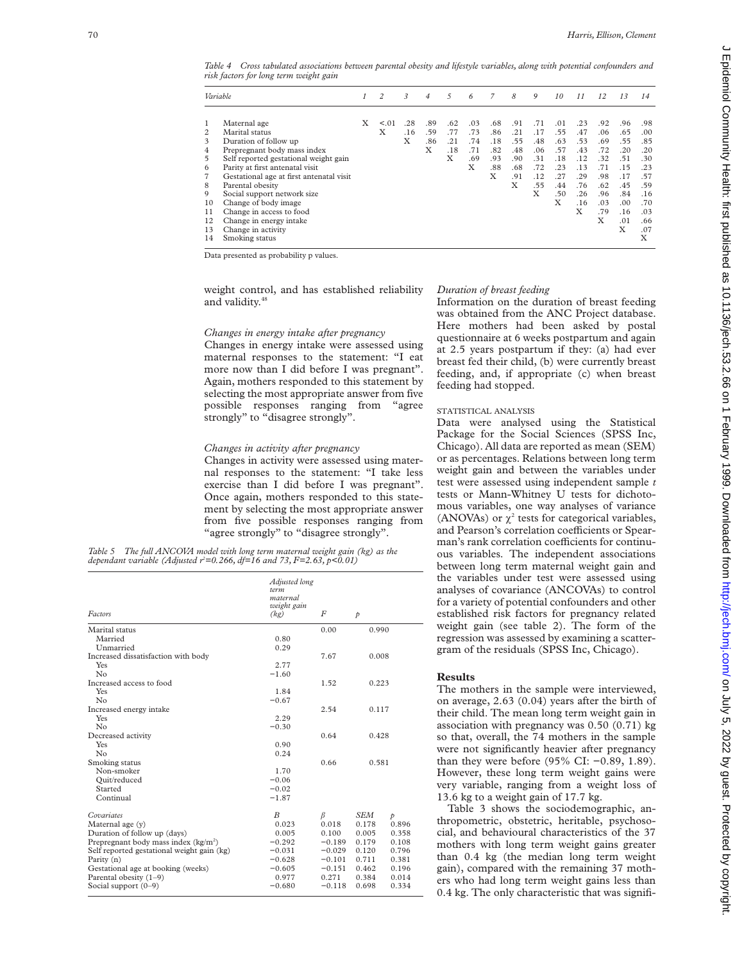*Table 4 Cross tabulated associations between parental obesity and lifestyle variables, along with potential confounders and risk factors for long term weight gain*

| Variable                                                                           |                                                                                                                                                                                                                                                                                                                                                                                          | $\mathcal{I}$ | 2           | 3               | $\overline{4}$         | 5                             | 6                                    | $\overline{7}$                              | 8                                                  | 9                                                         | 10                                                               | 11                                                                      | 12                                                                             | 13                                                                                    | 14                                                                                           |
|------------------------------------------------------------------------------------|------------------------------------------------------------------------------------------------------------------------------------------------------------------------------------------------------------------------------------------------------------------------------------------------------------------------------------------------------------------------------------------|---------------|-------------|-----------------|------------------------|-------------------------------|--------------------------------------|---------------------------------------------|----------------------------------------------------|-----------------------------------------------------------|------------------------------------------------------------------|-------------------------------------------------------------------------|--------------------------------------------------------------------------------|---------------------------------------------------------------------------------------|----------------------------------------------------------------------------------------------|
| $\mathbf{1}$<br>2<br>3<br>4<br>5<br>6<br>7<br>8<br>9<br>10<br>11<br>12<br>13<br>14 | Maternal age<br>Marital status<br>Duration of follow up<br>Prepregnant body mass index<br>Self reported gestational weight gain<br>Parity at first antenatal visit<br>Gestational age at first antenatal visit<br>Parental obesity<br>Social support network size<br>Change of body image<br>Change in access to food<br>Change in energy intake<br>Change in activity<br>Smoking status | X             | < 0.01<br>Χ | .28<br>.16<br>X | .89<br>.59<br>.86<br>X | .62<br>.77<br>.21<br>.18<br>X | .03<br>.73<br>.74<br>.71<br>.69<br>Χ | .68<br>.86<br>.18<br>.82<br>.93<br>.88<br>Χ | .91<br>.21<br>.55<br>.48<br>.90<br>.68<br>.91<br>X | .71<br>.17<br>.48<br>.06<br>.31<br>.72<br>.12<br>.55<br>X | .01<br>.55<br>.63<br>.57<br>.18<br>.23<br>.27<br>.44<br>.50<br>X | .23<br>.47<br>.53<br>.43<br>.12<br>.13<br>.29<br>.76<br>.26<br>.16<br>X | .92<br>.06<br>.69<br>.72<br>.32<br>.71<br>.98<br>.62<br>.96<br>.03<br>.79<br>X | .96<br>.65<br>.55<br>.20<br>.51<br>.15<br>.17<br>.45<br>.84<br>.00<br>.16<br>.01<br>X | .98<br>.00<br>.85<br>.20<br>.30<br>.23<br>.57<br>.59<br>.16<br>.70<br>.03<br>.66<br>.07<br>X |
|                                                                                    |                                                                                                                                                                                                                                                                                                                                                                                          |               |             |                 |                        |                               |                                      |                                             |                                                    |                                                           |                                                                  |                                                                         |                                                                                |                                                                                       |                                                                                              |

Data presented as probability p values.

weight control, and has established reliability and validity.<sup>46</sup>

#### *Changes in energy intake after pregnancy*

Changes in energy intake were assessed using maternal responses to the statement: "I eat more now than I did before I was pregnant". Again, mothers responded to this statement by selecting the most appropriate answer from five possible responses ranging from "agree strongly" to "disagree strongly".

## *Changes in activity after pregnancy*

Changes in activity were assessed using maternal responses to the statement: "I take less exercise than I did before I was pregnant". Once again, mothers responded to this statement by selecting the most appropriate answer from five possible responses ranging from "agree strongly" to "disagree strongly".

|  | Table 5 The full ANCOVA model with long term maternal weight gain (kg) as the |  |  |  |
|--|-------------------------------------------------------------------------------|--|--|--|
|  | dependant variable (Adjusted $r^2 = 0.266$ , df=16 and 73, F=2.63, p<0.01)    |  |  |  |

| Factors                                    | Adjusted long<br>term<br>maternal<br>weight gain<br>(kg) | F        | $\mathcal{P}$ |               |
|--------------------------------------------|----------------------------------------------------------|----------|---------------|---------------|
| Marital status                             |                                                          | 0.00     | 0.990         |               |
| Married                                    | 0.80                                                     |          |               |               |
| Unmarried                                  | 0.29                                                     |          |               |               |
| Increased dissatisfaction with body        |                                                          | 7.67     | 0.008         |               |
| Yes                                        | 2.77                                                     |          |               |               |
| No                                         | $-1.60$                                                  |          |               |               |
| Increased access to food                   |                                                          | 1.52     | 0.223         |               |
| Yes                                        | 1.84                                                     |          |               |               |
| No                                         | $-0.67$                                                  |          |               |               |
| Increased energy intake                    |                                                          | 2.54     | 0.117         |               |
| Yes                                        | 2.29                                                     |          |               |               |
| No                                         | $-0.30$                                                  |          |               |               |
| Decreased activity                         |                                                          | 0.64     | 0.428         |               |
| Yes                                        | 0.90                                                     |          |               |               |
| No                                         | 0.24                                                     |          |               |               |
| Smoking status                             |                                                          | 0.66     | 0.581         |               |
| Non-smoker                                 | 1.70                                                     |          |               |               |
| Quit/reduced                               | $-0.06$                                                  |          |               |               |
| Started                                    | $-0.02$                                                  |          |               |               |
| Continual                                  | $-1.87$                                                  |          |               |               |
| Covariates                                 | B                                                        | $\beta$  | SEM           | $\mathcal{P}$ |
| Maternal age (y)                           | 0.023                                                    | 0.018    | 0.178         | 0.896         |
| Duration of follow up (days)               | 0.005                                                    | 0.100    | 0.005         | 0.358         |
| Prepregnant body mass index $(kg/m2)$      | $-0.292$                                                 | $-0.189$ | 0.179         | 0.108         |
| Self reported gestational weight gain (kg) | $-0.031$                                                 | $-0.029$ | 0.120         | 0.796         |
| Parity (n)                                 | $-0.628$                                                 | $-0.101$ | 0.711         | 0.381         |
| Gestational age at booking (weeks)         | $-0.605$                                                 | $-0.151$ | 0.462         | 0.196         |
| Parental obesity $(1-9)$                   | 0.977                                                    | 0.271    | 0.384         | 0.014         |
| Social support $(0-9)$                     | $-0.680$                                                 | $-0.118$ | 0.698         | 0.334         |

#### *Duration of breast feeding*

Information on the duration of breast feeding was obtained from the ANC Project database. Here mothers had been asked by postal questionnaire at 6 weeks postpartum and again at 2.5 years postpartum if they: (a) had ever breast fed their child, (b) were currently breast feeding, and, if appropriate (c) when breast feeding had stopped.

#### STATISTICAL ANALYSIS

Data were analysed using the Statistical Package for the Social Sciences (SPSS Inc, Chicago). All data are reported as mean (SEM) or as percentages. Relations between long term weight gain and between the variables under test were assessed using independent sample *t* tests or Mann-Whitney U tests for dichotomous variables, one way analyses of variance (ANOVAs) or  $\chi^2$  tests for categorical variables, and Pearson's correlation coefficients or Spearman's rank correlation coefficients for continuous variables. The independent associations between long term maternal weight gain and the variables under test were assessed using analyses of covariance (ANCOVAs) to control for a variety of potential confounders and other established risk factors for pregnancy related weight gain (see table 2). The form of the regression was assessed by examining a scattergram of the residuals (SPSS Inc, Chicago).

## **Results**

The mothers in the sample were interviewed, on average, 2.63 (0.04) years after the birth of their child. The mean long term weight gain in association with pregnancy was 0.50 (0.71) kg so that, overall, the 74 mothers in the sample were not significantly heavier after pregnancy than they were before (95% CI: −0.89, 1.89). However, these long term weight gains were very variable, ranging from a weight loss of 13.6 kg to a weight gain of 17.7 kg.

Table 3 shows the sociodemographic, anthropometric, obstetric, heritable, psychosocial, and behavioural characteristics of the 37 mothers with long term weight gains greater than 0.4 kg (the median long term weight gain), compared with the remaining 37 mothers who had long term weight gains less than 0.4 kg. The only characteristic that was signifi-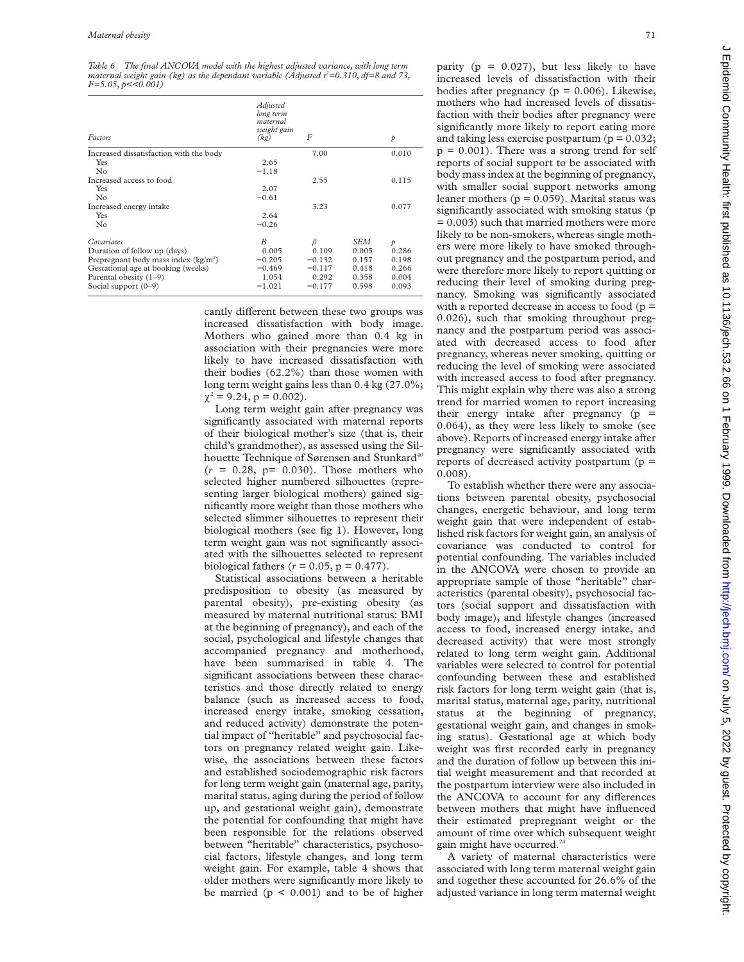*Table 6 The final ANCOVA model with the highest adjusted variance, with long term maternal weight gain (kg) as the dependant variable (Adjusted r2 =0.310, df=8 and 73, F*=5.05, *p*<<0.001)

| Factors                                 | Adjusted<br>long term<br>maternal<br>weight gain<br>(kg) | F        |       | $\mathcal{P}$ |
|-----------------------------------------|----------------------------------------------------------|----------|-------|---------------|
| Increased dissatisfaction with the body |                                                          | 7.00     |       | 0.010         |
| Yes                                     | 2.65                                                     |          |       |               |
| No                                      | $-1.18$                                                  |          |       |               |
| Increased access to food                |                                                          | 2.55     |       | 0.115         |
| Yes                                     | 2.07                                                     |          |       |               |
| No                                      | $-0.61$                                                  |          |       |               |
| Increased energy intake                 |                                                          | 3.23     |       | 0.077         |
| Yes                                     | 2.64                                                     |          |       |               |
| No                                      | $-0.26$                                                  |          |       |               |
| Covariates                              | B                                                        | ß        | SEM   | $\mathcal{P}$ |
| Duration of follow up (days)            | 0.005                                                    | 0.109    | 0.005 | 0.286         |
| Prepregnant body mass index $(kg/m2)$   | $-0.205$                                                 | $-0.132$ | 0.157 | 0.198         |
| Gestational age at booking (weeks)      | $-0.469$                                                 | $-0.117$ | 0.418 | 0.266         |
| Parental obesity $(1-9)$                | 1.054                                                    | 0.292    | 0.358 | 0.004         |
| Social support $(0-9)$                  | $-1.021$                                                 | $-0.177$ | 0.598 | 0.093         |

cantly different between these two groups was increased dissatisfaction with body image. Mothers who gained more than 0.4 kg in association with their pregnancies were more likely to have increased dissatisfaction with their bodies (62.2%) than those women with long term weight gains less than 0.4 kg (27.0%;  $\chi^2$  = 9.24, p = 0.002).

Long term weight gain after pregnancy was significantly associated with maternal reports of their biological mother's size (that is, their child's grandmother), as assessed using the Silhouette Technique of Sørensen and Stunkard<sup>40</sup>  $(r = 0.28, p = 0.030)$ . Those mothers who selected higher numbered silhouettes (representing larger biological mothers) gained significantly more weight than those mothers who selected slimmer silhouettes to represent their biological mothers (see fig 1). However, long term weight gain was not significantly associated with the silhouettes selected to represent biological fathers  $(r = 0.05, p = 0.477)$ .

Statistical associations between a heritable predisposition to obesity (as measured by parental obesity), pre-existing obesity (as measured by maternal nutritional status: BMI at the beginning of pregnancy), and each of the social, psychological and lifestyle changes that accompanied pregnancy and motherhood, have been summarised in table 4. The significant associations between these characteristics and those directly related to energy balance (such as increased access to food, increased energy intake, smoking cessation, and reduced activity) demonstrate the potential impact of "heritable" and psychosocial factors on pregnancy related weight gain. Likewise, the associations between these factors and established sociodemographic risk factors for long term weight gain (maternal age, parity, marital status, aging during the period of follow up, and gestational weight gain), demonstrate the potential for confounding that might have been responsible for the relations observed between "heritable" characteristics, psychosocial factors, lifestyle changes, and long term weight gain. For example, table 4 shows that older mothers were significantly more likely to be married  $(p < 0.001)$  and to be of higher

 $\sim$ 

Digitt. Protected by Guest. Protected by Guest. 9, 2022 by Guest. 2022 by copyright. Health popyright. Health:  $\sim$  2022 by Guest, published as 10.11360, 61.1360, 61.1366, 61.1366, 01.1999. Downloadd trom Hetri/jech.bu/int Epidemiol Community Health: first published as 10.1136/jech.53.2.66 on 1 February 1999. Downloaded from http://jech.bmj.com/ on July 5, 2022 by guest. Protected by copyright

increased levels of dissatisfaction with their bodies after pregnancy ( $p = 0.006$ ). Likewise, mothers who had increased levels of dissatisfaction with their bodies after pregnancy were significantly more likely to report eating more and taking less exercise postpartum ( $p = 0.032$ ;  $p = 0.001$ ). There was a strong trend for self reports of social support to be associated with body mass index at the beginning of pregnancy, with smaller social support networks among leaner mothers ( $p = 0.059$ ). Marital status was significantly associated with smoking status (p  $= 0.003$ ) such that married mothers were more likely to be non-smokers, whereas single mothers were more likely to have smoked throughout pregnancy and the postpartum period, and were therefore more likely to report quitting or reducing their level of smoking during pregnancy. Smoking was significantly associated with a reported decrease in access to food  $(p =$ 0.026), such that smoking throughout pregnancy and the postpartum period was associated with decreased access to food after pregnancy, whereas never smoking, quitting or reducing the level of smoking were associated with increased access to food after pregnancy. This might explain why there was also a strong trend for married women to report increasing their energy intake after pregnancy  $(p =$ 0.064), as they were less likely to smoke (see above). Reports of increased energy intake after pregnancy were significantly associated with reports of decreased activity postpartum  $(p =$ 0.008).

parity ( $p = 0.027$ ), but less likely to have

To establish whether there were any associations between parental obesity, psychosocial changes, energetic behaviour, and long term weight gain that were independent of established risk factors for weight gain, an analysis of covariance was conducted to control for potential confounding. The variables included in the ANCOVA were chosen to provide an appropriate sample of those "heritable" characteristics (parental obesity), psychosocial factors (social support and dissatisfaction with body image), and lifestyle changes (increased access to food, increased energy intake, and decreased activity) that were most strongly related to long term weight gain. Additional variables were selected to control for potential confounding between these and established risk factors for long term weight gain (that is, marital status, maternal age, parity, nutritional status at the beginning of pregnancy, gestational weight gain, and changes in smoking status). Gestational age at which body weight was first recorded early in pregnancy and the duration of follow up between this initial weight measurement and that recorded at the postpartum interview were also included in the ANCOVA to account for any differences between mothers that might have influenced their estimated prepregnant weight or the amount of time over which subsequent weight gain might have occurred.<sup>24</sup>

A variety of maternal characteristics were associated with long term maternal weight gain and together these accounted for 26.6% of the adjusted variance in long term maternal weight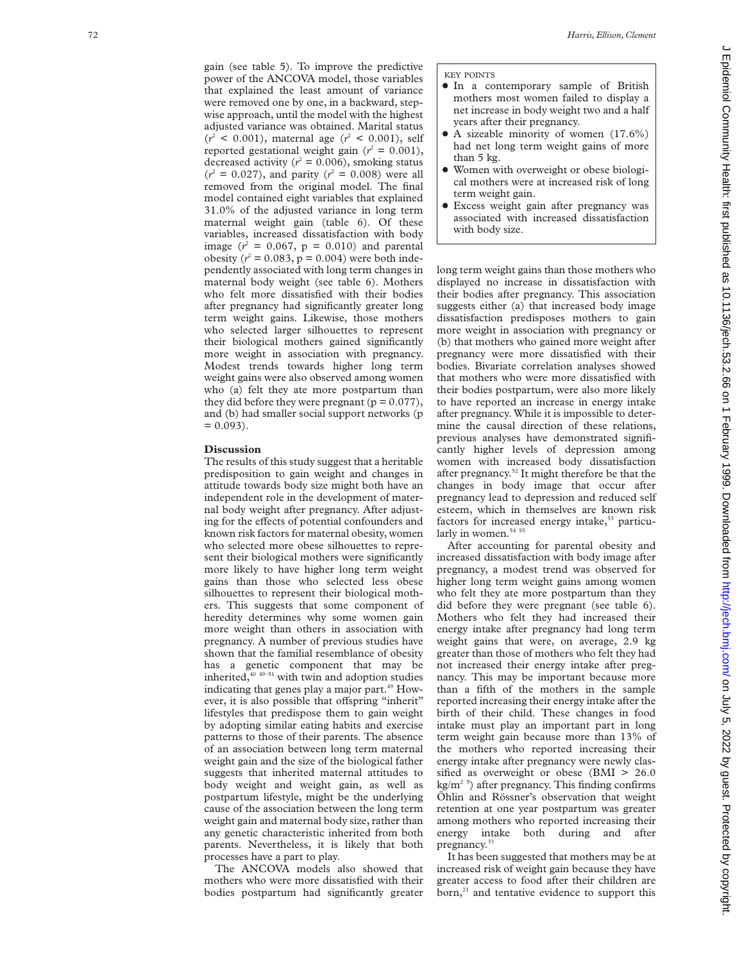gain (see table 5). To improve the predictive power of the ANCOVA model, those variables that explained the least amount of variance were removed one by one, in a backward, stepwise approach, until the model with the highest adjusted variance was obtained. Marital status  $(r^2 < 0.001)$ , maternal age  $(r^2 < 0.001)$ , self reported gestational weight gain  $(r^2 = 0.001)$ , decreased activity ( $r^2$  = 0.006), smoking status  $(r^2 = 0.027)$ , and parity  $(r^2 = 0.008)$  were all removed from the original model. The final model contained eight variables that explained 31.0% of the adjusted variance in long term maternal weight gain (table 6). Of these variables, increased dissatisfaction with body image  $(r^2 = 0.067, p = 0.010)$  and parental obesity ( $r^2 = 0.083$ ,  $p = 0.004$ ) were both independently associated with long term changes in maternal body weight (see table 6). Mothers who felt more dissatisfied with their bodies after pregnancy had significantly greater long term weight gains. Likewise, those mothers who selected larger silhouettes to represent their biological mothers gained significantly more weight in association with pregnancy. Modest trends towards higher long term weight gains were also observed among women who (a) felt they ate more postpartum than they did before they were pregnant ( $p = 0.077$ ), and (b) had smaller social support networks (p  $= 0.093$ .

#### **Discussion**

The results of this study suggest that a heritable predisposition to gain weight and changes in attitude towards body size might both have an independent role in the development of maternal body weight after pregnancy. After adjusting for the effects of potential confounders and known risk factors for maternal obesity, women who selected more obese silhouettes to represent their biological mothers were significantly more likely to have higher long term weight gains than those who selected less obese silhouettes to represent their biological mothers. This suggests that some component of heredity determines why some women gain more weight than others in association with pregnancy. A number of previous studies have shown that the familial resemblance of obesity has a genetic component that may be inherited, $40$ <sup>49–51</sup> with twin and adoption studies indicating that genes play a major part.<sup>49</sup> However, it is also possible that offspring "inherit" lifestyles that predispose them to gain weight by adopting similar eating habits and exercise patterns to those of their parents. The absence of an association between long term maternal weight gain and the size of the biological father suggests that inherited maternal attitudes to body weight and weight gain, as well as postpartum lifestyle, might be the underlying cause of the association between the long term weight gain and maternal body size, rather than any genetic characteristic inherited from both parents. Nevertheless, it is likely that both processes have a part to play.

The ANCOVA models also showed that mothers who were more dissatisfied with their bodies postpartum had significantly greater

#### KEY POINTS

- $\bullet$  In a contemporary sample of British mothers most women failed to display a net increase in body weight two and a half years after their pregnancy.
- $\bullet$  A sizeable minority of women (17.6%) had net long term weight gains of more than 5 kg.
- Women with overweight or obese biological mothers were at increased risk of long term weight gain.
- **•** Excess weight gain after pregnancy was associated with increased dissatisfaction with body size.

long term weight gains than those mothers who displayed no increase in dissatisfaction with their bodies after pregnancy. This association suggests either (a) that increased body image dissatisfaction predisposes mothers to gain more weight in association with pregnancy or (b) that mothers who gained more weight after pregnancy were more dissatisfied with their bodies. Bivariate correlation analyses showed that mothers who were more dissatisfied with their bodies postpartum, were also more likely to have reported an increase in energy intake after pregnancy. While it is impossible to determine the causal direction of these relations, previous analyses have demonstrated significantly higher levels of depression among women with increased body dissatisfaction after pregnancy.<sup>52</sup> It might therefore be that the changes in body image that occur after pregnancy lead to depression and reduced self esteem, which in themselves are known risk factors for increased energy intake,<sup>53</sup> particularly in women.<sup>54 55</sup>

After accounting for parental obesity and increased dissatisfaction with body image after pregnancy, a modest trend was observed for higher long term weight gains among women who felt they ate more postpartum than they did before they were pregnant (see table 6). Mothers who felt they had increased their energy intake after pregnancy had long term weight gains that were, on average, 2.9 kg greater than those of mothers who felt they had not increased their energy intake after pregnancy. This may be important because more than a fifth of the mothers in the sample reported increasing their energy intake after the birth of their child. These changes in food intake must play an important part in long term weight gain because more than 13% of the mothers who reported increasing their energy intake after pregnancy were newly classified as overweight or obese (BMI > 26.0)  $kg/m<sup>2-5</sup>$ ) after pregnancy. This finding confirms Öhlin and Rössner's observation that weight retention at one year postpartum was greater among mothers who reported increasing their energy intake both during and after pregnancy.<sup>33</sup>

It has been suggested that mothers may be at increased risk of weight gain because they have greater access to food after their children are  $born<sub>2</sub><sup>21</sup>$  and tentative evidence to support this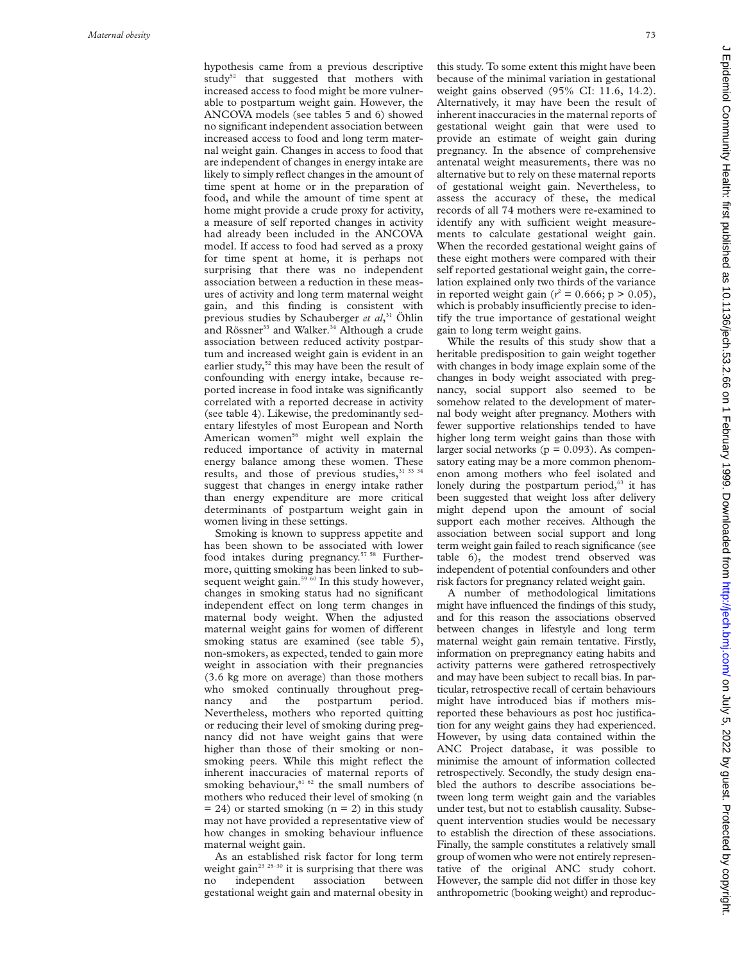hypothesis came from a previous descriptive study<sup>52</sup> that suggested that mothers with increased access to food might be more vulnerable to postpartum weight gain. However, the ANCOVA models (see tables 5 and 6) showed no significant independent association between increased access to food and long term maternal weight gain. Changes in access to food that are independent of changes in energy intake are likely to simply reflect changes in the amount of time spent at home or in the preparation of food, and while the amount of time spent at home might provide a crude proxy for activity, a measure of self reported changes in activity had already been included in the ANCOVA model. If access to food had served as a proxy for time spent at home, it is perhaps not surprising that there was no independent association between a reduction in these measures of activity and long term maternal weight gain, and this finding is consistent with previous studies by Schauberger *et al*, <sup>31</sup> Öhlin and Rössner<sup>33</sup> and Walker.<sup>34</sup> Although a crude association between reduced activity postpartum and increased weight gain is evident in an earlier study,<sup>52</sup> this may have been the result of confounding with energy intake, because reported increase in food intake was significantly correlated with a reported decrease in activity (see table 4). Likewise, the predominantly sedentary lifestyles of most European and North American women<sup>56</sup> might well explain the reduced importance of activity in maternal energy balance among these women. These results, and those of previous studies, 31 33 34 suggest that changes in energy intake rather than energy expenditure are more critical determinants of postpartum weight gain in women living in these settings.

Smoking is known to suppress appetite and has been shown to be associated with lower food intakes during pregnancy.<sup>57 58</sup> Furthermore, quitting smoking has been linked to subsequent weight gain.<sup>59 60</sup> In this study however, changes in smoking status had no significant independent effect on long term changes in maternal body weight. When the adjusted maternal weight gains for women of different smoking status are examined (see table 5), non-smokers, as expected, tended to gain more weight in association with their pregnancies (3.6 kg more on average) than those mothers who smoked continually throughout pregnancy and the postpartum period. Nevertheless, mothers who reported quitting or reducing their level of smoking during pregnancy did not have weight gains that were higher than those of their smoking or nonsmoking peers. While this might reflect the inherent inaccuracies of maternal reports of smoking behaviour, $61/62$  the small numbers of mothers who reduced their level of smoking (n  $= 24$ ) or started smoking (n = 2) in this study may not have provided a representative view of how changes in smoking behaviour influence maternal weight gain.

As an established risk factor for long term weight gain<sup>23 25-30</sup> it is surprising that there was no independent association between gestational weight gain and maternal obesity in this study. To some extent this might have been because of the minimal variation in gestational weight gains observed (95% CI: 11.6, 14.2). Alternatively, it may have been the result of inherent inaccuracies in the maternal reports of gestational weight gain that were used to provide an estimate of weight gain during pregnancy. In the absence of comprehensive antenatal weight measurements, there was no alternative but to rely on these maternal reports of gestational weight gain. Nevertheless, to assess the accuracy of these, the medical records of all 74 mothers were re-examined to identify any with sufficient weight measurements to calculate gestational weight gain. When the recorded gestational weight gains of these eight mothers were compared with their self reported gestational weight gain, the correlation explained only two thirds of the variance in reported weight gain ( $r^2 = 0.666$ ; p > 0.05), which is probably insufficiently precise to identify the true importance of gestational weight gain to long term weight gains.

While the results of this study show that a heritable predisposition to gain weight together with changes in body image explain some of the changes in body weight associated with pregnancy, social support also seemed to be somehow related to the development of maternal body weight after pregnancy. Mothers with fewer supportive relationships tended to have higher long term weight gains than those with larger social networks ( $p = 0.093$ ). As compensatory eating may be a more common phenomenon among mothers who feel isolated and lonely during the postpartum period,<sup>63</sup> it has been suggested that weight loss after delivery might depend upon the amount of social support each mother receives. Although the association between social support and long term weight gain failed to reach significance (see table 6), the modest trend observed was independent of potential confounders and other risk factors for pregnancy related weight gain.

A number of methodological limitations might have influenced the findings of this study, and for this reason the associations observed between changes in lifestyle and long term maternal weight gain remain tentative. Firstly, information on prepregnancy eating habits and activity patterns were gathered retrospectively and may have been subject to recall bias. In particular, retrospective recall of certain behaviours might have introduced bias if mothers misreported these behaviours as post hoc justification for any weight gains they had experienced. However, by using data contained within the ANC Project database, it was possible to minimise the amount of information collected retrospectively. Secondly, the study design enabled the authors to describe associations between long term weight gain and the variables under test, but not to establish causality. Subsequent intervention studies would be necessary to establish the direction of these associations. Finally, the sample constitutes a relatively small group of women who were not entirely representative of the original ANC study cohort. However, the sample did not differ in those key anthropometric (booking weight) and reproduc-